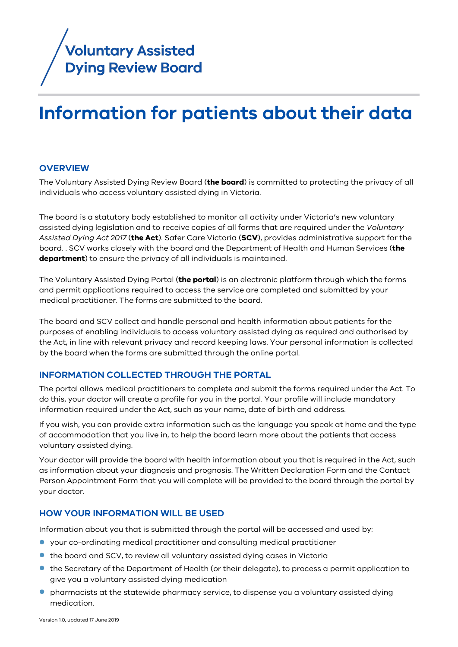

# **Information for patients about their data**

#### **OVERVIEW**

The Voluntary Assisted Dying Review Board (**the board**) is committed to protecting the privacy of all individuals who access voluntary assisted dying in Victoria.

The board is a statutory body established to monitor all activity under Victoria's new voluntary assisted dying legislation and to receive copies of all forms that are required under the *Voluntary Assisted Dying Act 2017* (**the Act**). Safer Care Victoria (**SCV**), provides administrative support for the board. . SCV works closely with the board and the Department of Health and Human Services (**the department**) to ensure the privacy of all individuals is maintained.

The [Voluntary Assisted Dying Portal](https://bettersafercare.vic.gov.au/about-us/about-scv/councils/voluntary-assisted-dying-review-board/voluntary-assisted-dying-portal) (**the portal**) is an electronic platform through which the forms and permit applications required to access the service are completed and submitted by your medical practitioner. The forms are submitted to the board.

The board and SCV collect and handle personal and health information about patients for the purposes of enabling individuals to access voluntary assisted dying as required and authorised by the Act, in line with relevant privacy and record keeping laws. Your personal information is collected by the board when the forms are submitted through the online portal.

#### **INFORMATION COLLECTED THROUGH THE PORTAL**

The portal allows medical practitioners to complete and submit the forms required under the Act. To do this, your doctor will create a profile for you in the portal. Your profile will include mandatory information required under the Act, such as your name, date of birth and address.

If you wish, you can provide extra information such as the language you speak at home and the type of accommodation that you live in, to help the board learn more about the patients that access voluntary assisted dying.

Your doctor will provide the board with health information about you that is required in the Act, such as information about your diagnosis and prognosis. The Written Declaration Form and the Contact Person Appointment Form that you will complete will be provided to the board through the portal by your doctor.

#### **HOW YOUR INFORMATION WILL BE USED**

Information about you that is submitted through the portal will be accessed and used by:

- your co-ordinating medical practitioner and consulting medical practitioner
- the board and SCV, to review all voluntary assisted dying cases in Victoria
- the Secretary of the Department of Health (or their delegate), to process a permit application to give you a voluntary assisted dying medication
- pharmacists at the statewide pharmacy service, to dispense you a voluntary assisted dying medication.